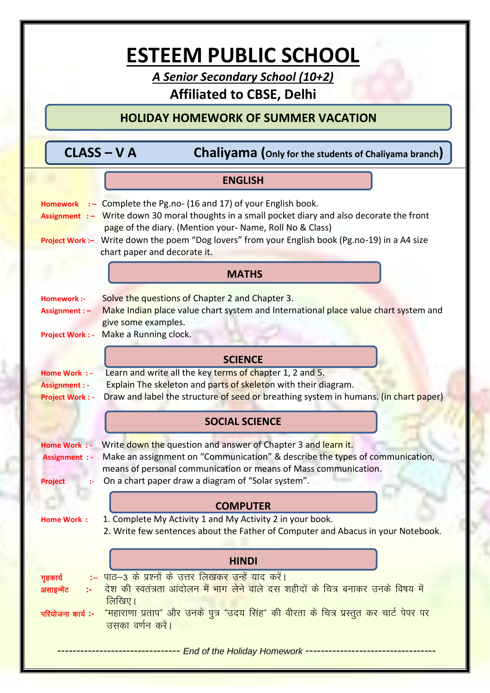# **ESTEEM PUBLIC SCHOOL**

A Senior Secondary School (10+2)

# **Affiliated to CBSE, Delhi**

**HOLIDAY HOMEWORK OF SUMMER VACATION** 

| $\textsf{CLASS}-\textsf{V}\, \textsf{A}$ |  |
|------------------------------------------|--|
|------------------------------------------|--|

Chaliyama (Only for the students of Chaliyama branch)

|                                                                  | <b>ENGLISH</b>                                                                                                                                                                                                                                                                                                                                                |  |
|------------------------------------------------------------------|---------------------------------------------------------------------------------------------------------------------------------------------------------------------------------------------------------------------------------------------------------------------------------------------------------------------------------------------------------------|--|
| <b>Homework</b>                                                  | $\cdot$ Complete the Pg.no- (16 and 17) of your English book.<br>Assignment :- Write down 30 moral thoughts in a small pocket diary and also decorate the front<br>page of the diary. (Mention your-Name, Roll No & Class)<br>Project Work :- Write down the poem "Dog lovers" from your English book (Pg.no-19) in a A4 size<br>chart paper and decorate it. |  |
|                                                                  | <b>MATHS</b>                                                                                                                                                                                                                                                                                                                                                  |  |
| Homework :-<br>Assignment : -<br><b>Project Work: -</b>          | Solve the questions of Chapter 2 and Chapter 3.<br>Make Indian place value chart system and International place value chart system and<br>give some examples.<br>Make a Running clock.                                                                                                                                                                        |  |
|                                                                  | <b>SCIENCE</b>                                                                                                                                                                                                                                                                                                                                                |  |
| Home Work : -<br><b>Assignment : -</b><br><b>Project Work: -</b> | Learn and write all the key terms of chapter 1, 2 and 5.<br>Explain The skeleton and parts of skeleton with their diagram.<br>Draw and label the structure of seed or breathing system in humans. (in chart paper)                                                                                                                                            |  |
|                                                                  | <b>SOCIAL SCIENCE</b>                                                                                                                                                                                                                                                                                                                                         |  |
| <b>Home Work : -</b><br><b>Assignment : -</b><br><b>Project</b>  | Write down the question and answer of Chapter 3 and learn it.<br>Make an assignment on "Communication" & describe the types of communication,<br>means of personal communication or means of Mass communication.<br>On a chart paper draw a diagram of "Solar system".                                                                                        |  |
|                                                                  | <b>COMPUTER</b>                                                                                                                                                                                                                                                                                                                                               |  |
| <b>Home Work:</b>                                                | 1. Complete My Activity 1 and My Activity 2 in your book.<br>2. Write few sentences about the Father of Computer and Abacus in your Notebook.                                                                                                                                                                                                                 |  |
|                                                                  | <b>HINDI</b>                                                                                                                                                                                                                                                                                                                                                  |  |
| गृहकार्य<br>असाइन्मेंट<br>परियोजना कार्य :-                      | :– पाठ-3 के प्रश्नों के उत्तर लिखकर उन्हें याद करें।<br><u>देश की स्वतंत्रता आंदोलन में भाग लेने वाले दस शहीदों के चित्र बनाकर उनके विषय में </u><br>लिखिए।<br>"महाराणा प्रताप" और उनके पुत्र "उदय सिंह" की वीरता के चित्र प्रस्तुत कर चार्ट पेपर पर<br>उसका वर्णन करें।                                                                                      |  |
|                                                                  |                                                                                                                                                                                                                                                                                                                                                               |  |